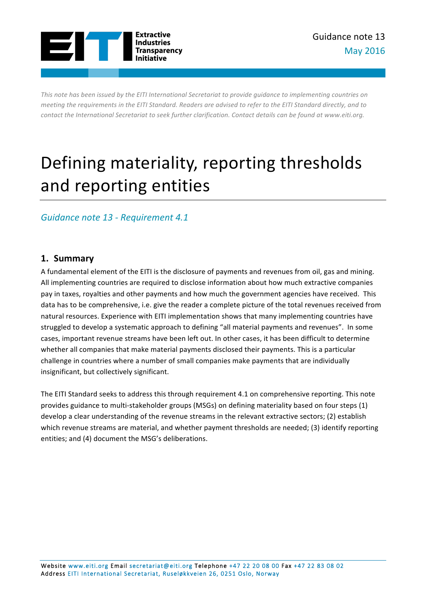

This note has been issued by the EITI International Secretariat to provide quidance to implementing countries on *meeting* the requirements in the EITI Standard. Readers are advised to refer to the EITI Standard directly, and to *contact the International Secretariat to seek further clarification. Contact details can be found at www.eiti.org.* 

# Defining materiality, reporting thresholds and reporting entities

# *Guidance note 13 - Requirement 4.1*

# **1. Summary**

A fundamental element of the EITI is the disclosure of payments and revenues from oil, gas and mining. All implementing countries are required to disclose information about how much extractive companies pay in taxes, royalties and other payments and how much the government agencies have received. This data has to be comprehensive, i.e. give the reader a complete picture of the total revenues received from natural resources. Experience with EITI implementation shows that many implementing countries have struggled to develop a systematic approach to defining "all material payments and revenues". In some cases, important revenue streams have been left out. In other cases, it has been difficult to determine whether all companies that make material payments disclosed their payments. This is a particular challenge in countries where a number of small companies make payments that are individually insignificant, but collectively significant.

The EITI Standard seeks to address this through requirement 4.1 on comprehensive reporting. This note provides guidance to multi-stakeholder groups (MSGs) on defining materiality based on four steps (1) develop a clear understanding of the revenue streams in the relevant extractive sectors; (2) establish which revenue streams are material, and whether payment thresholds are needed; (3) identify reporting entities; and (4) document the MSG's deliberations.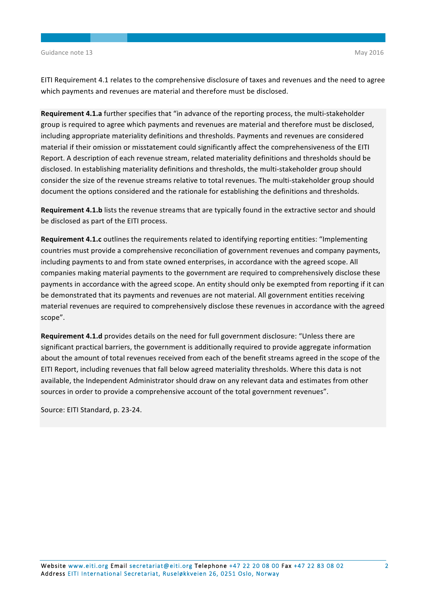EITI Requirement 4.1 relates to the comprehensive disclosure of taxes and revenues and the need to agree which payments and revenues are material and therefore must be disclosed.

**Requirement 4.1.a** further specifies that "in advance of the reporting process, the multi-stakeholder group is required to agree which payments and revenues are material and therefore must be disclosed, including appropriate materiality definitions and thresholds. Payments and revenues are considered material if their omission or misstatement could significantly affect the comprehensiveness of the EITI Report. A description of each revenue stream, related materiality definitions and thresholds should be disclosed. In establishing materiality definitions and thresholds, the multi-stakeholder group should consider the size of the revenue streams relative to total revenues. The multi-stakeholder group should document the options considered and the rationale for establishing the definitions and thresholds.

**Requirement 4.1.b** lists the revenue streams that are typically found in the extractive sector and should be disclosed as part of the EITI process.

**Requirement 4.1.c** outlines the requirements related to identifying reporting entities: "Implementing countries must provide a comprehensive reconciliation of government revenues and company payments, including payments to and from state owned enterprises, in accordance with the agreed scope. All companies making material payments to the government are required to comprehensively disclose these payments in accordance with the agreed scope. An entity should only be exempted from reporting if it can be demonstrated that its payments and revenues are not material. All government entities receiving material revenues are required to comprehensively disclose these revenues in accordance with the agreed scope".

**Requirement 4.1.d** provides details on the need for full government disclosure: "Unless there are significant practical barriers, the government is additionally required to provide aggregate information about the amount of total revenues received from each of the benefit streams agreed in the scope of the EITI Report, including revenues that fall below agreed materiality thresholds. Where this data is not available, the Independent Administrator should draw on any relevant data and estimates from other sources in order to provide a comprehensive account of the total government revenues".

Source: EITI Standard, p. 23-24.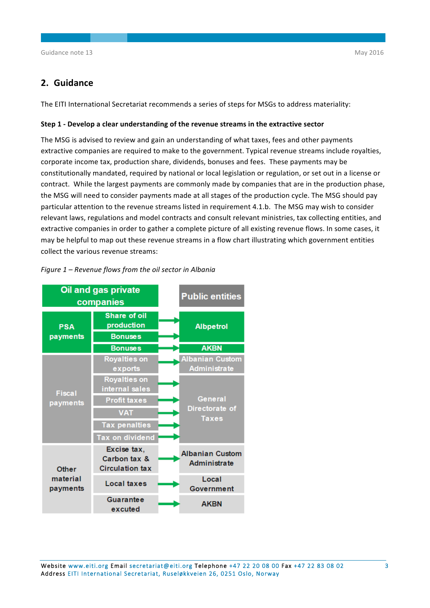# **2. Guidance**

The EITI International Secretariat recommends a series of steps for MSGs to address materiality:

#### **Step 1** - Develop a clear understanding of the revenue streams in the extractive sector

The MSG is advised to review and gain an understanding of what taxes, fees and other payments extractive companies are required to make to the government. Typical revenue streams include royalties, corporate income tax, production share, dividends, bonuses and fees. These payments may be constitutionally mandated, required by national or local legislation or regulation, or set out in a license or contract. While the largest payments are commonly made by companies that are in the production phase, the MSG will need to consider payments made at all stages of the production cycle. The MSG should pay particular attention to the revenue streams listed in requirement 4.1.b. The MSG may wish to consider relevant laws, regulations and model contracts and consult relevant ministries, tax collecting entities, and extractive companies in order to gather a complete picture of all existing revenue flows. In some cases, it may be helpful to map out these revenue streams in a flow chart illustrating which government entities collect the various revenue streams:



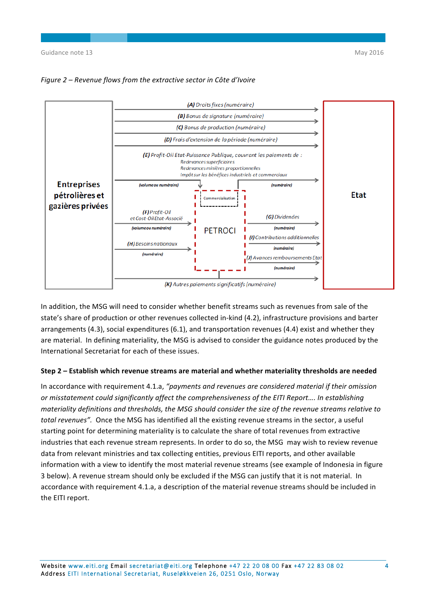

*Figure 2* – Revenue flows from the extractive sector in Côte d'Ivoire

In addition, the MSG will need to consider whether benefit streams such as revenues from sale of the state's share of production or other revenues collected in-kind (4.2), infrastructure provisions and barter arrangements  $(4.3)$ , social expenditures  $(6.1)$ , and transportation revenues  $(4.4)$  exist and whether they are material. In defining materiality, the MSG is advised to consider the guidance notes produced by the International Secretariat for each of these issues.

#### **Step 2 – Establish which revenue streams are material and whether materiality thresholds are needed**

In accordance with requirement 4.1.a, "payments and revenues are considered material if their omission or misstatement could significantly affect the comprehensiveness of the EITI Report.... In establishing *materiality definitions and thresholds, the MSG should consider the size of the revenue streams relative to total revenues"*. Once the MSG has identified all the existing revenue streams in the sector, a useful starting point for determining materiality is to calculate the share of total revenues from extractive industries that each revenue stream represents. In order to do so, the MSG may wish to review revenue data from relevant ministries and tax collecting entities, previous EITI reports, and other available information with a view to identify the most material revenue streams (see example of Indonesia in figure 3 below). A revenue stream should only be excluded if the MSG can justify that it is not material. In accordance with requirement 4.1.a, a description of the material revenue streams should be included in the EITI report.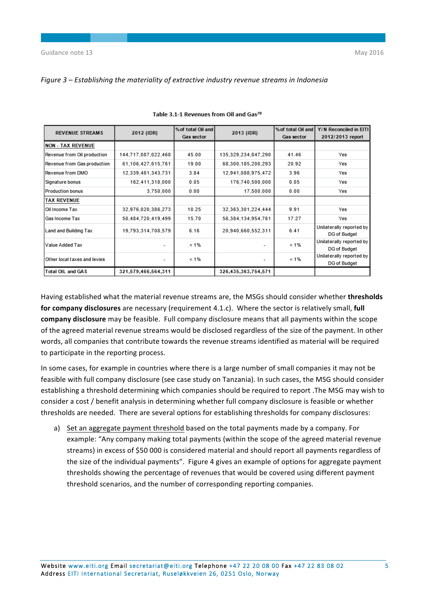| Figure 3 – Establishing the materiality of extractive industry revenue streams in Indonesia |  |
|---------------------------------------------------------------------------------------------|--|
|---------------------------------------------------------------------------------------------|--|

| <b>REVENUE STREAMS</b>       |                                 | % of total Oil and |                         | % of total Oil and | Y/N Reconciled in EITI                   |  |
|------------------------------|---------------------------------|--------------------|-------------------------|--------------------|------------------------------------------|--|
|                              | 2012 (IDR)<br><b>Gas sector</b> |                    | 2013 (IDR)              | <b>Gas sector</b>  | 2012/2013 report                         |  |
| <b>NON - TAX REVENUE</b>     |                                 |                    |                         |                    |                                          |  |
| Revenue from Oil production  | 144,717,087,022,468             | 45.00              | 135, 329, 234, 847, 290 | 41.46              | Yes                                      |  |
| Revenue from Gas production  | 61.106.427.615.761              | 19.00              | 68,300,185,200,293      | 20.92              | Yes                                      |  |
| Revenue from DMO             | 12,339,481,343,731              | 3.84               | 12,941,088,975,472      | 3.96               | Yes                                      |  |
| Signature bonus              | 162,411,318,000                 | 0.05               | 176.740.500.000         | 0.05               | Yes                                      |  |
| Production bonus             | 3,750,000                       | 0.00               | 17,500,000              | 0.00               | Yes                                      |  |
| <b>TAX REVENUE</b>           |                                 |                    |                         |                    |                                          |  |
| l Oil Income Tax             | 32,976,020,386,273              | 10.25              | 32, 363, 301, 224, 444  | 9.91               | Yes                                      |  |
| <b>Gas Income Tax</b>        | 50.484.720.419.499              | 15.70              | 56.384.134.954.761      | 17.27              | Yes                                      |  |
| Land and Building Tax        | 19.793.314.708.579              | 6.16               | 20.940.660.552.311      | 6.41               | Unilaterally reported by<br>DG of Budget |  |
| Value Added Tax              |                                 | $< 1\%$            | ۰                       | $< 1\%$            | Unilaterally reported by<br>DG of Budget |  |
| Other local taxes and levies | $\overline{\phantom{a}}$        | $< 1\%$            | ۰                       | $< 1\%$            | Unilaterally reported by<br>DG of Budget |  |
| <b>Total OIL and GAS</b>     | 321,579,466,564,311             |                    | 326,435,363,754,571     |                    |                                          |  |

# Table 3.1-1 Revenues from Oil and Gas79

Having established what the material revenue streams are, the MSGs should consider whether **thresholds** for company disclosures are necessary (requirement 4.1.c). Where the sector is relatively small, full **company disclosure** may be feasible. Full company disclosure means that all payments within the scope of the agreed material revenue streams would be disclosed regardless of the size of the payment. In other words, all companies that contribute towards the revenue streams identified as material will be required to participate in the reporting process.

In some cases, for example in countries where there is a large number of small companies it may not be feasible with full company disclosure (see case study on Tanzania). In such cases, the MSG should consider establishing a threshold determining which companies should be required to report .The MSG may wish to consider a cost / benefit analysis in determining whether full company disclosure is feasible or whether thresholds are needed. There are several options for establishing thresholds for company disclosures:

a) Set an aggregate payment threshold based on the total payments made by a company. For example: "Any company making total payments (within the scope of the agreed material revenue streams) in excess of \$50 000 is considered material and should report all payments regardless of the size of the individual payments". Figure 4 gives an example of options for aggregate payment thresholds showing the percentage of revenues that would be covered using different payment threshold scenarios, and the number of corresponding reporting companies.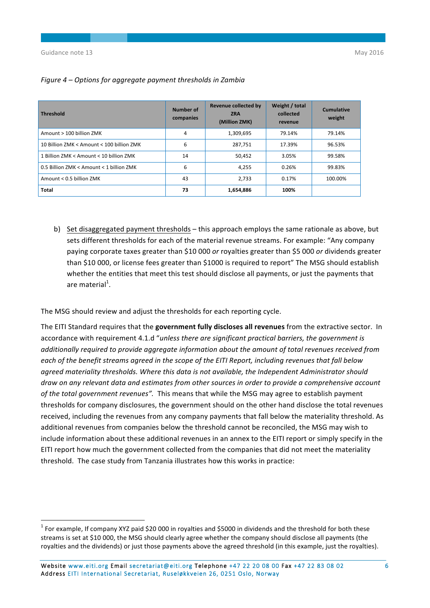| <b>Threshold</b>                          | Number of<br>companies | Revenue collected by<br><b>ZRA</b><br>(Million ZMK) | Weight / total<br>collected<br>revenue | <b>Cumulative</b><br>weight |
|-------------------------------------------|------------------------|-----------------------------------------------------|----------------------------------------|-----------------------------|
| Amount > 100 billion ZMK                  | 4                      | 1,309,695                                           | 79.14%                                 | 79.14%                      |
| 10 Billion ZMK < Amount < 100 billion ZMK | 6                      | 287,751                                             | 17.39%                                 | 96.53%                      |
| 1 Billion ZMK < Amount < 10 billion ZMK   | 14                     | 50.452                                              | 3.05%                                  | 99.58%                      |
| 0.5 Billion ZMK < Amount < 1 billion ZMK  | 6                      | 4,255                                               | 0.26%                                  | 99.83%                      |
| Amount < 0.5 billion ZMK                  | 43                     | 2,733                                               | 0.17%                                  | 100.00%                     |
| Total                                     | 73                     | 1,654,886                                           | 100%                                   |                             |

### *Figure 4 – Options for aggregate payment thresholds in Zambia*

b) Set disaggregated payment thresholds – this approach employs the same rationale as above, but sets different thresholds for each of the material revenue streams. For example: "Any company paying corporate taxes greater than \$10 000 or royalties greater than \$5 000 or dividends greater than \$10 000, or license fees greater than \$1000 is required to report" The MSG should establish whether the entities that meet this test should disclose all payments, or just the payments that are material<sup>1</sup>.

The MSG should review and adjust the thresholds for each reporting cycle.

The EITI Standard requires that the government fully discloses all revenues from the extractive sector. In accordance with requirement 4.1.d "*unless there are significant practical barriers, the government is* additionally required to provide aggregate information about the amount of total revenues received from each of the benefit streams agreed in the scope of the EITI Report, including revenues that fall below agreed materiality thresholds. Where this data is not available, the Independent Administrator should *draw* on any relevant data and estimates from other sources in order to provide a comprehensive account of the total government revenues". This means that while the MSG may agree to establish payment thresholds for company disclosures, the government should on the other hand disclose the total revenues received, including the revenues from any company payments that fall below the materiality threshold. As additional revenues from companies below the threshold cannot be reconciled, the MSG may wish to include information about these additional revenues in an annex to the EITI report or simply specify in the EITI report how much the government collected from the companies that did not meet the materiality threshold. The case study from Tanzania illustrates how this works in practice:

 $1$  For example, If company XYZ paid \$20 000 in royalties and \$5000 in dividends and the threshold for both these streams is set at \$10 000, the MSG should clearly agree whether the company should disclose all payments (the royalties and the dividends) or just those payments above the agreed threshold (in this example, just the royalties).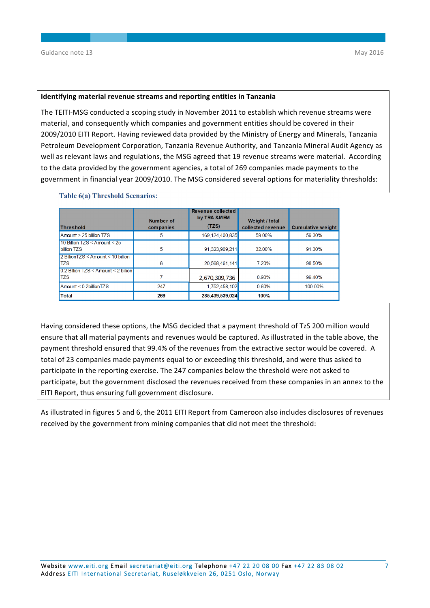#### **Identifying material revenue streams and reporting entities in Tanzania**

The TEITI-MSG conducted a scoping study in November 2011 to establish which revenue streams were material, and consequently which companies and government entities should be covered in their 2009/2010 EITI Report. Having reviewed data provided by the Ministry of Energy and Minerals, Tanzania Petroleum Development Corporation, Tanzania Revenue Authority, and Tanzania Mineral Audit Agency as well as relevant laws and regulations, the MSG agreed that 19 revenue streams were material. According to the data provided by the government agencies, a total of 269 companies made payments to the government in financial year 2009/2010. The MSG considered several options for materiality thresholds:

| <b>Threshold</b>                                 | Number of<br>companies | Revenue collected<br>by TRA &MEM<br>(TZS) | Weight / total<br>collected revenue | <b>Cumulative weight</b> |
|--------------------------------------------------|------------------------|-------------------------------------------|-------------------------------------|--------------------------|
| Amount > 25 billion TZS                          | 5                      | 169,124,400,835                           | 59.00%                              | 59.30%                   |
| 10 Billion $TZS <$ Amount $<$ 25<br>billion TZS  | 5                      | 91,323,909.211                            | 32.00%                              | 91.30%                   |
| 2 BillionTZS < Amount < 10 billion<br><b>TZS</b> | 6                      | 20,568,461,141                            | 7.20%                               | 98.50%                   |
| 0.2 Billion TZS < Amount < 2 billion<br>TZS      |                        | 2,670,309,736                             | 0.90%                               | 99.40%                   |
| $Amount < 0.2$ billionTZS                        | 247                    | 1,752,458,102                             | 0.60%                               | 100.00%                  |
| Total                                            | 269                    | 285,439,539,024                           | 100%                                |                          |

#### Table 6(a) Threshold Scenarios:

Having considered these options, the MSG decided that a payment threshold of TzS 200 million would ensure that all material payments and revenues would be captured. As illustrated in the table above, the payment threshold ensured that 99.4% of the revenues from the extractive sector would be covered. A total of 23 companies made payments equal to or exceeding this threshold, and were thus asked to participate in the reporting exercise. The 247 companies below the threshold were not asked to participate, but the government disclosed the revenues received from these companies in an annex to the EITI Report, thus ensuring full government disclosure.

As illustrated in figures 5 and 6, the 2011 EITI Report from Cameroon also includes disclosures of revenues received by the government from mining companies that did not meet the threshold: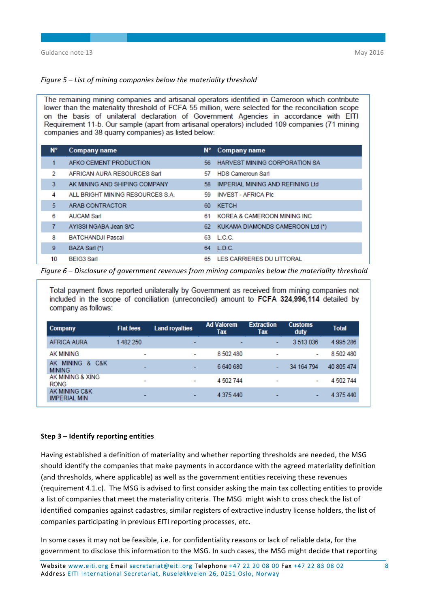#### *Figure* 5 – List of mining companies below the materiality threshold

The remaining mining companies and artisanal operators identified in Cameroon which contribute lower than the materiality threshold of FCFA 55 million, were selected for the reconciliation scope on the basis of unilateral declaration of Government Agencies in accordance with EITI Requirement 11-b. Our sample (apart from artisanal operators) included 109 companies (71 mining companies and 38 quarry companies) as listed below:

| N۰ | Company name                     |     | N° Company name                  |
|----|----------------------------------|-----|----------------------------------|
|    | AFKO CEMENT PRODUCTION           | 56  | HARVEST MINING CORPORATION SA    |
| 2  | AFRICAN AURA RESOURCES Sarl      | 57. | <b>HDS Cameroun Sarl</b>         |
| 3. | AK MINING AND SHIPING COMPANY    | 58. | IMPERIAL MINING AND REFINING Ltd |
| 4  | ALL BRIGHT MINING RESOURCES S.A. | 59. | <b>INVEST - AFRICA PIC</b>       |
| 5  | ARAB CONTRACTOR                  | 60  | <b>KETCH</b>                     |
| 6  | <b>AUCAM Sarl</b>                | 61  | KOREA & CAMEROON MINING INC.     |
| 7  | AYISSI NGABA Jean S/C            | 62  | KUKAMA DIAMONDS CAMEROON Ltd (*) |
| 8  | <b>BATCHANDJI Pascal</b>         |     | 63 L.C.C.                        |
| 9  | BAZA Sarl (*)                    | 64  | LD.C.                            |
| 10 | <b>BEIG3 Sarl</b>                | 65. | LES CARRIERES DU LITTORAL        |

*Figure* 6 – Disclosure of government revenues from mining companies below the materiality threshold

Total payment flows reported unilaterally by Government as received from mining companies not included in the scope of conciliation (unreconciled) amount to FCFA 324.996.114 detailed by company as follows:

| Company                                           | <b>Flat fees</b>         | <b>Land royalties</b>    | <b>Ad Valorem</b><br>Tax | <b>Extraction</b><br>Tax | <b>Customs</b><br>duty | <b>Total</b> |
|---------------------------------------------------|--------------------------|--------------------------|--------------------------|--------------------------|------------------------|--------------|
| AFRICA AURA                                       | 1482 250                 | -                        | ۰                        | $\overline{\phantom{0}}$ | 3513036                | 4 995 286    |
| AK MINING                                         | $\overline{\phantom{0}}$ | ٠                        | 8 502 480                | $\overline{\phantom{a}}$ | ٠                      | 8 502 480    |
| <b>MINING</b><br>C&K<br>æ.<br>AК<br><b>MINING</b> | $\overline{\phantom{0}}$ | $\overline{\phantom{0}}$ | 6 640 680                | $\overline{\phantom{0}}$ | 34 164 794             | 40 805 474   |
| AK MINING & XING<br><b>RONG</b>                   | $\overline{\phantom{a}}$ | -                        | 4 502 744                | $\overline{\phantom{a}}$ | ٠                      | 4 502 744    |
| AK MINING C&K<br><b>IMPERIAL MIN</b>              | $\overline{\phantom{0}}$ | -                        | 4 375 440                | $\overline{\phantom{0}}$ |                        | 4 375 440    |

#### **Step 3 – Identify reporting entities**

Having established a definition of materiality and whether reporting thresholds are needed, the MSG should identify the companies that make payments in accordance with the agreed materiality definition (and thresholds, where applicable) as well as the government entities receiving these revenues (requirement 4.1.c). The MSG is advised to first consider asking the main tax collecting entities to provide a list of companies that meet the materiality criteria. The MSG might wish to cross check the list of identified companies against cadastres, similar registers of extractive industry license holders, the list of companies participating in previous EITI reporting processes, etc.

In some cases it may not be feasible, i.e. for confidentiality reasons or lack of reliable data, for the government to disclose this information to the MSG. In such cases, the MSG might decide that reporting